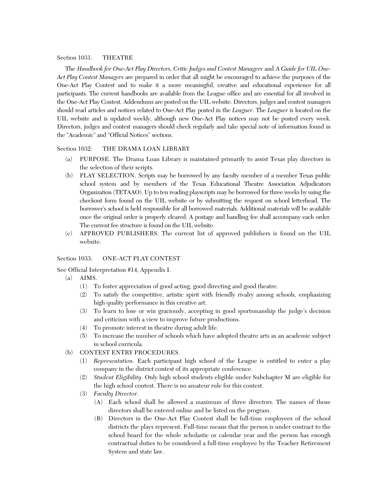### Section 1031: THEATRE

The *Handbook for One-Act Play Directors, Critic Judges and Contest Managers* and *A Guide for UIL One-Act Play Contest Managers* are prepared in order that all might be encouraged to achieve the purposes of the One-Act Play Contest and to make it a more meaningful, creative and educational experience for all participants. The current handbooks are available from the League office and are essential for all involved in the One-Act Play Contest. Addendums are posted on the UIL website. Directors, judges and contest managers should read articles and notices related to One-Act Play posted in the *Leaguer*. The *Leaguer* is located on the UIL website and is updated weekly, although new One-Act Play notices may not be posted every week. Directors, judges and contest managers should check regularly and take special note of information found in the "Academic" and "Official Notices" sections.

### Section 1032: THE DRAMA LOAN LIBRARY

- (a) PURPOSE. The Drama Loan Library is maintained primarily to assist Texas play directors in the selection of their scripts.
- (b) PLAY SELECTION. Scripts may be borrowed by any faculty member of a member Texas public school system and by members of the Texas Educational Theatre Association Adjudicators Organization (TETAAO). Up to ten reading playscripts may be borrowed for three weeks by using the checkout form found on the UIL website or by submitting the request on school letterhead. The borrower's school is held responsible for all borrowed materials. Additional materials will be available once the original order is properly cleared. A postage and handling fee shall accompany each order. The current fee structure is found on the UIL website.
- (c) APPROVED PUBLISHERS. The current list of approved publishers is found on the UIL website.

### Section 1033: ONE-ACT PLAY CONTEST

## See Official Interpretation #14, Appendix I.

- (a) AIMS.
	- (1) To foster appreciation of good acting, good directing and good theatre.
	- (2) To satisfy the competitive, artistic spirit with friendly rivalry among schools, emphasizing high quality performance in this creative art.
	- (3) To learn to lose or win graciously, accepting in good sportsmanship the judge's decision and criticism with a view to improve future productions.
	- (4) To promote interest in theatre during adult life.
	- (5) To increase the number of schools which have adopted theatre arts as an academic subject in school curricula.
- (b) CONTEST ENTRY PROCEDURES.
	- (1) *Representation*. Each participant high school of the League is entitled to enter a play company in the district contest of its appropriate conference.
	- (2) *Student Eligibility*. Only high school students eligible under Subchapter M are eligible for the high school contest. There is no amateur rule for this contest.
	- (3) *Faculty Director*.
		- (A) Each school shall be allowed a maximum of three directors. The names of those directors shall be entered online and be listed on the program.
		- (B) Directors in the One-Act Play Contest shall be full-time employees of the school districts the plays represent. Full-time means that the person is under contract to the school board for the whole scholastic or calendar year and the person has enough contractual duties to be considered a full-time employee by the Teacher Retirement System and state law.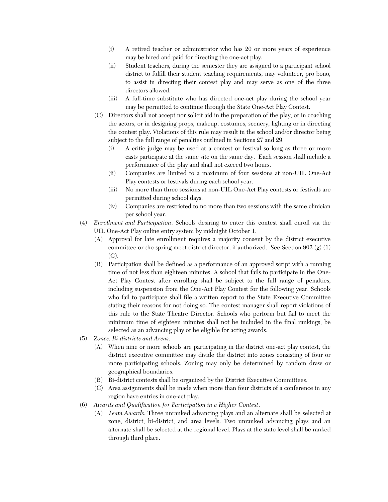- (i) A retired teacher or administrator who has 20 or more years of experience may be hired and paid for directing the one-act play.
- (ii) Student teachers, during the semester they are assigned to a participant school district to fulfill their student teaching requirements, may volunteer, pro bono, to assist in directing their contest play and may serve as one of the three directors allowed.
- (iii) A full-time substitute who has directed one-act play during the school year may be permitted to continue through the State One-Act Play Contest.
- (C) Directors shall not accept nor solicit aid in the preparation of the play, or in coaching the actors, or in designing props, makeup, costumes, scenery, lighting or in directing the contest play. Violations of this rule may result in the school and/or director being subject to the full range of penalties outlined in Sections 27 and 29.
	- (i) A critic judge may be used at a contest or festival so long as three or more casts participate at the same site on the same day. Each session shall include a performance of the play and shall not exceed two hours.
	- (ii) Companies are limited to a maximum of four sessions at non-UIL One-Act Play contests or festivals during each school year.
	- (iii) No more than three sessions at non-UIL One-Act Play contests or festivals are permitted during school days.
	- (iv) Companies are restricted to no more than two sessions with the same clinician per school year.
- (4) *Enrollment and Participation*. Schools desiring to enter this contest shall enroll via the UIL One-Act Play online entry system by midnight October 1.
	- (A) Approval for late enrollment requires a majority consent by the district executive committee or the spring meet district director, if authorized. See Section 902  $(g)(1)$ (C).
	- (B) Participation shall be defined as a performance of an approved script with a running time of not less than eighteen minutes. A school that fails to participate in the One-Act Play Contest after enrolling shall be subject to the full range of penalties, including suspension from the One-Act Play Contest for the following year. Schools who fail to participate shall file a written report to the State Executive Committee stating their reasons for not doing so. The contest manager shall report violations of this rule to the State Theatre Director. Schools who perform but fail to meet the minimum time of eighteen minutes shall not be included in the final rankings, be selected as an advancing play or be eligible for acting awards.
- (5) *Zones, Bi-districts and Areas*.
	- (A) When nine or more schools are participating in the district one-act play contest, the district executive committee may divide the district into zones consisting of four or more participating schools. Zoning may only be determined by random draw or geographical boundaries.
	- (B) Bi-district contests shall be organized by the District Executive Committees.
	- (C) Area assignments shall be made when more than four districts of a conference in any region have entries in one-act play.
- (6) *Awards and Qualification for Participation in a Higher Contest*.
	- (A) *Team Awards.* Three unranked advancing plays and an alternate shall be selected at zone, district, bi-district, and area levels. Two unranked advancing plays and an alternate shall be selected at the regional level. Plays at the state level shall be ranked through third place.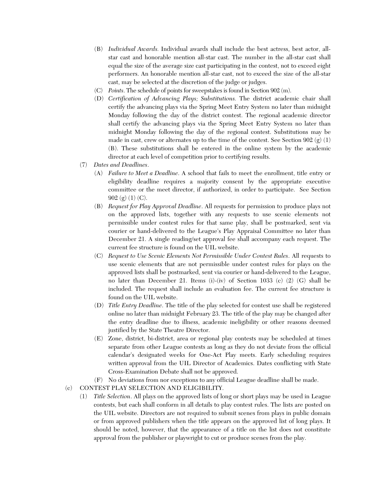- (B) *Individual Awards.* Individual awards shall include the best actress, best actor, allstar cast and honorable mention all-star cast. The number in the all-star cast shall equal the size of the average size cast participating in the contest, not to exceed eight performers. An honorable mention all-star cast, not to exceed the size of the all-star cast, may be selected at the discretion of the judge or judges.
- (C) *Points*. The schedule of points for sweepstakes is found in Section 902 (m).
- (D) *Certification of Advancing Plays; Substitutions.* The district academic chair shall certify the advancing plays via the Spring Meet Entry System no later than midnight Monday following the day of the district contest. The regional academic director shall certify the advancing plays via the Spring Meet Entry System no later than midnight Monday following the day of the regional contest. Substitutions may be made in cast, crew or alternates up to the time of the contest. See Section 902 (g) (1) (B). These substitutions shall be entered in the online system by the academic director at each level of competition prior to certifying results.
- (7) *Dates and Deadlines*.
	- (A) *Failure to Meet a Deadline*. A school that fails to meet the enrollment, title entry or eligibility deadline requires a majority consent by the appropriate executive committee or the meet director, if authorized, in order to participate. See Section 902 (g) (1) (C).
	- (B) *Request for Play Approval Deadline*. All requests for permission to produce plays not on the approved lists, together with any requests to use scenic elements not permissible under contest rules for that same play, shall be postmarked, sent via courier or hand-delivered to the League's Play Appraisal Committee no later than December 21. A single reading/set approval fee shall accompany each request. The current fee structure is found on the UIL website.
	- (C) *Request to Use Scenic Elements Not Permissible Under Contest Rules*. All requests to use scenic elements that are not permissible under contest rules for plays on the approved lists shall be postmarked, sent via courier or hand-delivered to the League, no later than December 21. Items (i)-(iv) of Section 1033 (c) (2) (G) shall be included. The request shall include an evaluation fee. The current fee structure is found on the UIL website.
	- (D) *Title Entry Deadline*. The title of the play selected for contest use shall be registered online no later than midnight February 23. The title of the play may be changed after the entry deadline due to illness, academic ineligibility or other reasons deemed justified by the State Theatre Director.
	- (E) Zone, district, bi-district, area or regional play contests may be scheduled at times separate from other League contests as long as they do not deviate from the official calendar's designated weeks for One-Act Play meets. Early scheduling requires written approval from the UIL Director of Academics. Dates conflicting with State Cross-Examination Debate shall not be approved.
	- (F) No deviations from nor exceptions to any official League deadline shall be made.
- (c) CONTEST PLAY SELECTION AND ELIGIBILITY.
	- (1) *Title Selection*. All plays on the approved lists of long or short plays may be used in League contests, but each shall conform in all details to play contest rules. The lists are posted on the UIL website. Directors are not required to submit scenes from plays in public domain or from approved publishers when the title appears on the approved list of long plays. It should be noted, however, that the appearance of a title on the list does not constitute approval from the publisher or playwright to cut or produce scenes from the play.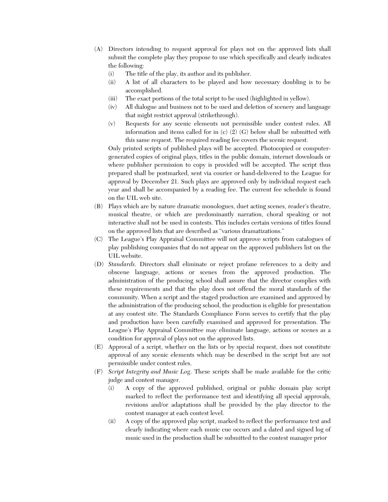- (A) Directors intending to request approval for plays not on the approved lists shall submit the complete play they propose to use which specifically and clearly indicates the following:
	- (i) The title of the play, its author and its publisher.
	- (ii) A list of all characters to be played and how necessary doubling is to be accomplished.
	- (iii) The exact portions of the total script to be used (highlighted in yellow).
	- (iv) All dialogue and business not to be used and deletion of scenery and language that might restrict approval (strikethrough).
	- (v) Requests for any scenic elements not permissible under contest rules. All information and items called for in (c) (2) (G) below shall be submitted with this same request. The required reading fee covers the scenic request.

Only printed scripts of published plays will be accepted. Photocopied or computergenerated copies of original plays, titles in the public domain, internet downloads or where publisher permission to copy is provided will be accepted. The script thus prepared shall be postmarked, sent via courier or hand-delivered to the League for approval by December 21. Such plays are approved only by individual request each year and shall be accompanied by a reading fee. The current fee schedule is found on the UIL web site.

- (B) Plays which are by nature dramatic monologues, duet acting scenes, reader's theatre, musical theatre, or which are predominantly narration, choral speaking or not interactive shall not be used in contests. This includes certain versions of titles found on the approved lists that are described as "various dramatizations."
- (C) The League's Play Appraisal Committee will not approve scripts from catalogues of play publishing companies that do not appear on the approved publishers list on the UIL website.
- (D) *Standards*. Directors shall eliminate or reject profane references to a deity and obscene language, actions or scenes from the approved production. The administration of the producing school shall assure that the director complies with these requirements and that the play does not offend the moral standards of the community. When a script and the staged production are examined and approved by the administration of the producing school, the production is eligible for presentation at any contest site. The Standards Compliance Form serves to certify that the play and production have been carefully examined and approved for presentation. The League's Play Appraisal Committee may eliminate language, actions or scenes as a condition for approval of plays not on the approved lists.
- (E) Approval of a script, whether on the lists or by special request, does not constitute approval of any scenic elements which may be described in the script but are not permissible under contest rules.
- (F) *Script Integrity and Music Log*. These scripts shall be made available for the critic judge and contest manager.
	- (i) A copy of the approved published, original or public domain play script marked to reflect the performance text and identifying all special approvals, revisions and/or adaptations shall be provided by the play director to the contest manager at each contest level.
	- (ii) A copy of the approved play script, marked to reflect the performance text and clearly indicating where each music cue occurs and a dated and signed log of music used in the production shall be submitted to the contest manager prior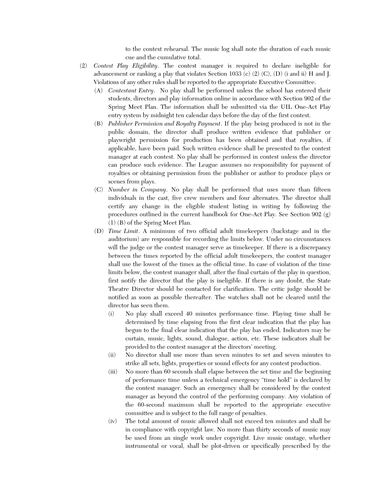to the contest rehearsal. The music log shall note the duration of each music cue and the cumulative total.

- (2) *Contest Play Eligibility*. The contest manager is required to declare ineligible for advancement or ranking a play that violates Section 1033 (c) (2) (C), (D) (i and ii) H and J. Violations of any other rules shall be reported to the appropriate Executive Committee.
	- (A) *Contestant Entry*. No play shall be performed unless the school has entered their students, directors and play information online in accordance with Section 902 of the Spring Meet Plan. The information shall be submitted via the UIL One-Act Play entry system by midnight ten calendar days before the day of the first contest.
	- (B) *Publisher Permission and Royalty Payment*. If the play being produced is not in the public domain, the director shall produce written evidence that publisher or playwright permission for production has been obtained and that royalties, if applicable, have been paid. Such written evidence shall be presented to the contest manager at each contest. No play shall be performed in contest unless the director can produce such evidence. The League assumes no responsibility for payment of royalties or obtaining permission from the publisher or author to produce plays or scenes from plays.
	- (C) *Number in Company*. No play shall be performed that uses more than fifteen individuals in the cast, five crew members and four alternates. The director shall certify any change in the eligible student listing in writing by following the procedures outlined in the current handbook for One-Act Play. See Section 902 (g) (1) (B) of the Spring Meet Plan.
	- (D) *Time Limit*. A minimum of two official adult timekeepers (backstage and in the auditorium) are responsible for recording the limits below. Under no circumstances will the judge or the contest manager serve as timekeeper. If there is a discrepancy between the times reported by the official adult timekeepers, the contest manager shall use the lowest of the times as the official time. In case of violation of the time limits below, the contest manager shall, after the final curtain of the play in question, first notify the director that the play is ineligible. If there is any doubt, the State Theatre Director should be contacted for clarification. The critic judge should be notified as soon as possible thereafter. The watches shall not be cleared until the director has seen them.
		- (i) No play shall exceed 40 minutes performance time. Playing time shall be determined by time elapsing from the first clear indication that the play has begun to the final clear indication that the play has ended. Indicators may be curtain, music, lights, sound, dialogue, action, etc. These indicators shall be provided to the contest manager at the directors' meeting.
		- (ii) No director shall use more than seven minutes to set and seven minutes to strike all sets, lights, properties or sound effects for any contest production.
		- (iii) No more than 60 seconds shall elapse between the set time and the beginning of performance time unless a technical emergency "time hold" is declared by the contest manager. Such an emergency shall be considered by the contest manager as beyond the control of the performing company. Any violation of the 60-second maximum shall be reported to the appropriate executive committee and is subject to the full range of penalties.
		- (iv) The total amount of music allowed shall not exceed ten minutes and shall be in compliance with copyright law. No more than thirty seconds of music may be used from an single work under copyright. Live music onstage, whether instrumental or vocal, shall be plot-driven or specifically prescribed by the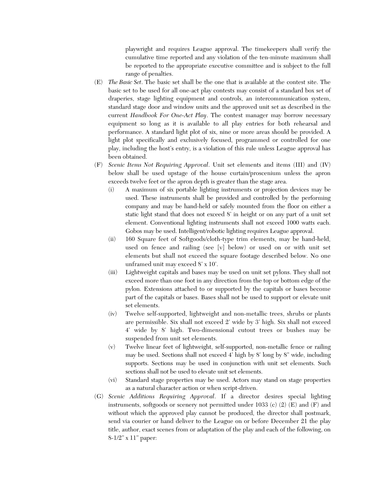playwright and requires League approval. The timekeepers shall verify the cumulative time reported and any violation of the ten-minute maximum shall be reported to the appropriate executive committee and is subject to the full range of penalties.

- (E) *The Basic Set*. The basic set shall be the one that is available at the contest site. The basic set to be used for all one-act play contests may consist of a standard box set of draperies, stage lighting equipment and controls, an intercommunication system, standard stage door and window units and the approved unit set as described in the current *Handbook For One-Act Play*. The contest manager may borrow necessary equipment so long as it is available to all play entries for both rehearsal and performance. A standard light plot of six, nine or more areas should be provided. A light plot specifically and exclusively focused, programmed or controlled for one play, including the host's entry, is a violation of this rule unless League approval has been obtained.
- (F) *Scenic Items Not Requiring Approval*. Unit set elements and items (III) and (IV) below shall be used upstage of the house curtain/proscenium unless the apron exceeds twelve feet or the apron depth is greater than the stage area.
	- (i) A maximum of six portable lighting instruments or projection devices may be used. These instruments shall be provided and controlled by the performing company and may be hand-held or safely mounted from the floor on either a static light stand that does not exceed 8' in height or on any part of a unit set element. Conventional lighting instruments shall not exceed 1000 watts each. Gobos may be used. Intelligent/robotic lighting requires League approval.
	- (ii) 160 Square feet of Softgoods/cloth-type trim elements, may be hand-held, used on fence and railing (see [v] below) or used on or with unit set elements but shall not exceed the square footage described below. No one unframed unit may exceed 8' x 10'.
	- (iii) Lightweight capitals and bases may be used on unit set pylons. They shall not exceed more than one foot in any direction from the top or bottom edge of the pylon. Extensions attached to or supported by the capitals or bases become part of the capitals or bases. Bases shall not be used to support or elevate unit set elements.
	- (iv) Twelve self-supported, lightweight and non-metallic trees, shrubs or plants are permissible. Six shall not exceed 2' wide by 3' high. Six shall not exceed 4' wide by 8' high. Two-dimensional cutout trees or bushes may be suspended from unit set elements.
	- (v) Twelve linear feet of lightweight, self-supported, non-metallic fence or railing may be used. Sections shall not exceed 4' high by 8' long by 8" wide, including supports. Sections may be used in conjunction with unit set elements. Such sections shall not be used to elevate unit set elements.
	- (vi) Standard stage properties may be used. Actors may stand on stage properties as a natural character action or when script-driven.
- (G) *Scenic Additions Requiring Approval*. If a director desires special lighting instruments, softgoods or scenery not permitted under 1033 (c) (2) (E) and (F) and without which the approved play cannot be produced, the director shall postmark, send via courier or hand deliver to the League on or before December 21 the play title, author, exact scenes from or adaptation of the play and each of the following, on 8-1/2" x 11" paper: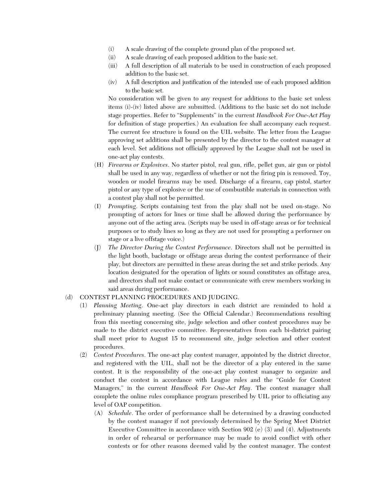- (i) A scale drawing of the complete ground plan of the proposed set.
- (ii) A scale drawing of each proposed addition to the basic set.
- (iii) A full description of all materials to be used in construction of each proposed addition to the basic set.
- (iv) A full description and justification of the intended use of each proposed addition to the basic set.

No consideration will be given to any request for additions to the basic set unless items (i)-(iv) listed above are submitted. (Additions to the basic set do not include stage properties. Refer to "Supplements" in the current *Handbook For One-Act Play* for definition of stage properties.) An evaluation fee shall accompany each request. The current fee structure is found on the UIL website. The letter from the League approving set additions shall be presented by the director to the contest manager at each level. Set additions not officially approved by the League shall not be used in one-act play contests.

- (H) *Firearms or Explosives*. No starter pistol, real gun, rifle, pellet gun, air gun or pistol shall be used in any way, regardless of whether or not the firing pin is removed. Toy, wooden or model firearms may be used. Discharge of a firearm, cap pistol, starter pistol or any type of explosive or the use of combustible materials in connection with a contest play shall not be permitted.
- (I) *Prompting*. Scripts containing text from the play shall not be used on-stage. No prompting of actors for lines or time shall be allowed during the performance by anyone out of the acting area. (Scripts may be used in off-stage areas or for technical purposes or to study lines so long as they are not used for prompting a performer on stage or a live offstage voice.)
- (J) *The Director During the Contest Performance*. Directors shall not be permitted in the light booth, backstage or offstage areas during the contest performance of their play, but directors are permitted in these areas during the set and strike periods. Any location designated for the operation of lights or sound constitutes an offstage area, and directors shall not make contact or communicate with crew members working in said areas during performance.

# (d) CONTEST PLANNING PROCEDURES AND JUDGING.

- (1) *Planning Meeting*. One-act play directors in each district are reminded to hold a preliminary planning meeting. (See the Official Calendar.) Recommendations resulting from this meeting concerning site, judge selection and other contest procedures may be made to the district executive committee. Representatives from each bi-district pairing shall meet prior to August 15 to recommend site, judge selection and other contest procedures.
- (2) *Contest Procedures*. The one-act play contest manager, appointed by the district director, and registered with the UIL, shall not be the director of a play entered in the same contest. It is the responsibility of the one-act play contest manager to organize and conduct the contest in accordance with League rules and the "Guide for Contest Managers," in the current *Handbook For One-Act Play*. The contest manager shall complete the online rules compliance program prescribed by UIL prior to officiating any level of OAP competition.
	- (A) *Schedule*. The order of performance shall be determined by a drawing conducted by the contest manager if not previously determined by the Spring Meet District Executive Committee in accordance with Section 902 (e) (3) and (4). Adjustments in order of rehearsal or performance may be made to avoid conflict with other contests or for other reasons deemed valid by the contest manager. The contest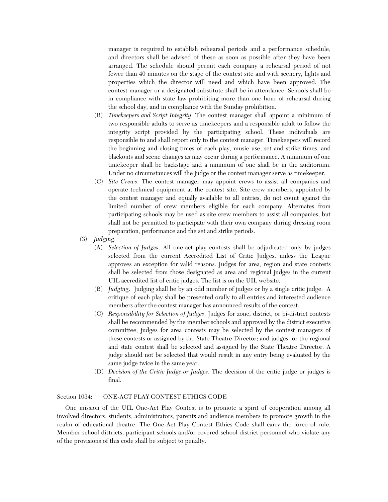manager is required to establish rehearsal periods and a performance schedule, and directors shall be advised of these as soon as possible after they have been arranged. The schedule should permit each company a rehearsal period of not fewer than 40 minutes on the stage of the contest site and with scenery, lights and properties which the director will need and which have been approved. The contest manager or a designated substitute shall be in attendance. Schools shall be in compliance with state law prohibiting more than one hour of rehearsal during the school day, and in compliance with the Sunday prohibition.

- (B) *Timekeepers and Script Integrity*. The contest manager shall appoint a minimum of two responsible adults to serve as timekeepers and a responsible adult to follow the integrity script provided by the participating school. These individuals are responsible to and shall report only to the contest manager. Timekeepers will record the beginning and closing times of each play, music use, set and strike times, and blackouts and scene changes as may occur during a performance. A minimum of one timekeeper shall be backstage and a minimum of one shall be in the auditorium. Under no circumstances will the judge or the contest manager serve as timekeeper.
- (C) *Site Crews*. The contest manager may appoint crews to assist all companies and operate technical equipment at the contest site. Site crew members, appointed by the contest manager and equally available to all entries, do not count against the limited number of crew members eligible for each company. Alternates from participating schools may be used as site crew members to assist all companies, but shall not be permitted to participate with their own company during dressing room preparation, performance and the set and strike periods.
- (3) *Judging*.
	- (A) *Selection of Judges*. All one-act play contests shall be adjudicated only by judges selected from the current Accredited List of Critic Judges, unless the League approves an exception for valid reasons. Judges for area, region and state contests shall be selected from those designated as area and regional judges in the current UIL accredited list of critic judges. The list is on the UIL website.
	- (B) *Judging*. Judging shall be by an odd number of judges or by a single critic judge. A critique of each play shall be presented orally to all entries and interested audience members after the contest manager has announced results of the contest.
	- (C) *Responsibility for Selection of Judges*. Judges for zone, district, or bi-district contests shall be recommended by the member schools and approved by the district executive committee; judges for area contests may be selected by the contest managers of these contests or assigned by the State Theatre Director; and judges for the regional and state contest shall be selected and assigned by the State Theatre Director. A judge should not be selected that would result in any entry being evaluated by the same judge twice in the same year.
	- (D) *Decision of the Critic Judge or Judges*. The decision of the critic judge or judges is final.

### Section 1034: ONE-ACT PLAY CONTEST ETHICS CODE

One mission of the UIL One-Act Play Contest is to promote a spirit of cooperation among all involved directors, students, administrators, parents and audience members to promote growth in the realm of educational theatre. The One-Act Play Contest Ethics Code shall carry the force of rule. Member school districts, participant schools and/or covered school district personnel who violate any of the provisions of this code shall be subject to penalty.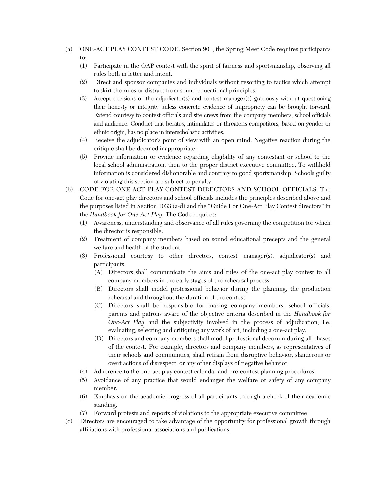- (a) ONE-ACT PLAY CONTEST CODE. Section 901, the Spring Meet Code requires participants to:
	- (1) Participate in the OAP contest with the spirit of fairness and sportsmanship, observing all rules both in letter and intent.
	- (2) Direct and sponsor companies and individuals without resorting to tactics which attempt to skirt the rules or distract from sound educational principles.
	- (3) Accept decisions of the adjudicator(s) and contest manager(s) graciously without questioning their honesty or integrity unless concrete evidence of impropriety can be brought forward. Extend courtesy to contest officials and site crews from the company members, school officials and audience. Conduct that berates, intimidates or threatens competitors, based on gender or ethnic origin, has no place in interscholastic activities.
	- (4) Receive the adjudicator's point of view with an open mind. Negative reaction during the critique shall be deemed inappropriate.
	- (5) Provide information or evidence regarding eligibility of any contestant or school to the local school administration, then to the proper district executive committee. To withhold information is considered dishonorable and contrary to good sportsmanship. Schools guilty of violating this section are subject to penalty.
- (b) CODE FOR ONE-ACT PLAY CONTEST DIRECTORS AND SCHOOL OFFICIALS. The Code for one-act play directors and school officials includes the principles described above and the purposes listed in Section 1033 (a-d) and the "Guide For One-Act Play Contest directors" in the *Handbook for One-Act Play*. The Code requires:
	- (1) Awareness, understanding and observance of all rules governing the competition for which the director is responsible.
	- (2) Treatment of company members based on sound educational precepts and the general welfare and health of the student.
	- (3) Professional courtesy to other directors, contest manager(s), adjudicator(s) and participants.
		- (A) Directors shall communicate the aims and rules of the one-act play contest to all company members in the early stages of the rehearsal process.
		- (B) Directors shall model professional behavior during the planning, the production rehearsal and throughout the duration of the contest.
		- (C) Directors shall be responsible for making company members, school officials, parents and patrons aware of the objective criteria described in the *Handbook for One-Act Play* and the subjectivity involved in the process of adjudication; i.e. evaluating, selecting and critiquing any work of art, including a one-act play.
		- (D) Directors and company members shall model professional decorum during all phases of the contest. For example, directors and company members, as representatives of their schools and communities, shall refrain from disruptive behavior, slanderous or overt actions of disrespect, or any other displays of negative behavior.
	- (4) Adherence to the one-act play contest calendar and pre-contest planning procedures.
	- (5) Avoidance of any practice that would endanger the welfare or safety of any company member.
	- (6) Emphasis on the academic progress of all participants through a check of their academic standing.
	- (7) Forward protests and reports of violations to the appropriate executive committee.
- (c) Directors are encouraged to take advantage of the opportunity for professional growth through affiliations with professional associations and publications.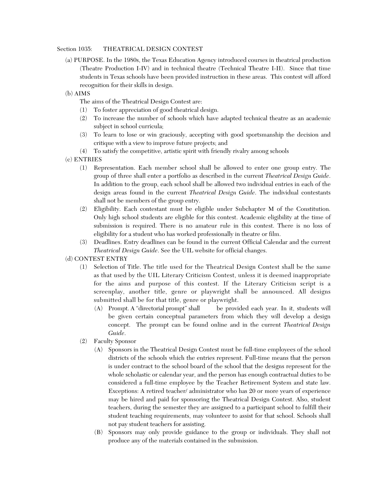## Section 1035: THEATRICAL DESIGN CONTEST

- (a) PURPOSE. In the 1980s, the Texas Education Agency introduced courses in theatrical production (Theatre Production I-IV) and in technical theatre (Technical Theatre I-II). Since that time students in Texas schools have been provided instruction in these areas. This contest will afford recognition for their skills in design.
- (b) AIMS
	- The aims of the Theatrical Design Contest are:
	- (1) To foster appreciation of good theatrical design.
	- (2) To increase the number of schools which have adapted technical theatre as an academic subject in school curricula;
	- (3) To learn to lose or win graciously, accepting with good sportsmanship the decision and critique with a view to improve future projects; and
	- (4) To satisfy the competitive, artistic spirit with friendly rivalry among schools
- (c) ENTRIES
	- (1) Representation. Each member school shall be allowed to enter one group entry. The group of three shall enter a portfolio as described in the current *Theatrical Design Guide*. In addition to the group, each school shall be allowed two individual entries in each of the design areas found in the current *Theatrical Design Guide*. The individual contestants shall not be members of the group entry.
	- (2) Eligibility. Each contestant must be eligible under Subchapter M of the Constitution. Only high school students are eligible for this contest. Academic eligibility at the time of submission is required. There is no amateur rule in this contest. There is no loss of eligibility for a student who has worked professionally in theatre or film.
	- (3) Deadlines. Entry deadlines can be found in the current Official Calendar and the current *Theatrical Design Guide*. See the UIL website for official changes.
- (d) CONTEST ENTRY
	- (1) Selection of Title. The title used for the Theatrical Design Contest shall be the same as that used by the UIL Literary Criticism Contest, unless it is deemed inappropriate for the aims and purpose of this contest. If the Literary Criticism script is a screenplay, another title, genre or playwright shall be announced. All designs submitted shall be for that title, genre or playwright.
		- (A) Prompt. A "directorial prompt" shall be provided each year. In it, students will be given certain conceptual parameters from which they will develop a design concept. The prompt can be found online and in the current *Theatrical Design Guide*.
	- (2) Faculty Sponsor
		- (A) Sponsors in the Theatrical Design Contest must be full-time employees of the school districts of the schools which the entries represent. Full-time means that the person is under contract to the school board of the school that the designs represent for the whole scholastic or calendar year, and the person has enough contractual duties to be considered a full-time employee by the Teacher Retirement System and state law. Exceptions: A retired teacher/ administrator who has 20 or more years of experience may be hired and paid for sponsoring the Theatrical Design Contest. Also, student teachers, during the semester they are assigned to a participant school to fulfill their student teaching requirements, may volunteer to assist for that school. Schools shall not pay student teachers for assisting.
		- (B) Sponsors may only provide guidance to the group or individuals. They shall not produce any of the materials contained in the submission.